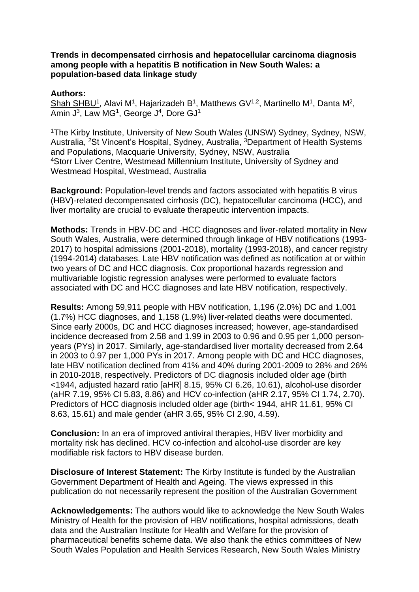## **Trends in decompensated cirrhosis and hepatocellular carcinoma diagnosis among people with a hepatitis B notification in New South Wales: a population-based data linkage study**

## **Authors:**

Shah SHBU<sup>1</sup>, Alavi M<sup>1</sup>, Hajarizadeh B<sup>1</sup>, Matthews GV<sup>1,2</sup>, Martinello M<sup>1</sup>, Danta M<sup>2</sup>, Amin J<sup>3</sup>, Law MG<sup>1</sup>, George J<sup>4</sup>, Dore GJ<sup>1</sup>

<sup>1</sup>The Kirby Institute, University of New South Wales (UNSW) Sydney, Sydney, NSW, Australia, <sup>2</sup>St Vincent's Hospital, Sydney, Australia, <sup>3</sup>Department of Health Systems and Populations, Macquarie University, Sydney, NSW, Australia <sup>4</sup>Storr Liver Centre, Westmead Millennium Institute, University of Sydney and Westmead Hospital, Westmead, Australia

**Background:** Population-level trends and factors associated with hepatitis B virus (HBV)-related decompensated cirrhosis (DC), hepatocellular carcinoma (HCC), and liver mortality are crucial to evaluate therapeutic intervention impacts.

**Methods:** Trends in HBV-DC and -HCC diagnoses and liver-related mortality in New South Wales, Australia, were determined through linkage of HBV notifications (1993- 2017) to hospital admissions (2001-2018), mortality (1993-2018), and cancer registry (1994-2014) databases. Late HBV notification was defined as notification at or within two years of DC and HCC diagnosis. Cox proportional hazards regression and multivariable logistic regression analyses were performed to evaluate factors associated with DC and HCC diagnoses and late HBV notification, respectively.

**Results:** Among 59,911 people with HBV notification, 1,196 (2.0%) DC and 1,001 (1.7%) HCC diagnoses, and 1,158 (1.9%) liver-related deaths were documented. Since early 2000s, DC and HCC diagnoses increased; however, age-standardised incidence decreased from 2.58 and 1.99 in 2003 to 0.96 and 0.95 per 1,000 personyears (PYs) in 2017. Similarly, age-standardised liver mortality decreased from 2.64 in 2003 to 0.97 per 1,000 PYs in 2017. Among people with DC and HCC diagnoses, late HBV notification declined from 41% and 40% during 2001-2009 to 28% and 26% in 2010-2018, respectively. Predictors of DC diagnosis included older age (birth <1944, adjusted hazard ratio [aHR] 8.15, 95% CI 6.26, 10.61), alcohol-use disorder (aHR 7.19, 95% CI 5.83, 8.86) and HCV co-infection (aHR 2.17, 95% CI 1.74, 2.70). Predictors of HCC diagnosis included older age (birth< 1944, aHR 11.61, 95% CI 8.63, 15.61) and male gender (aHR 3.65, 95% CI 2.90, 4.59).

**Conclusion:** In an era of improved antiviral therapies, HBV liver morbidity and mortality risk has declined. HCV co-infection and alcohol-use disorder are key modifiable risk factors to HBV disease burden.

**Disclosure of Interest Statement:** The Kirby Institute is funded by the Australian Government Department of Health and Ageing. The views expressed in this publication do not necessarily represent the position of the Australian Government

**Acknowledgements:** The authors would like to acknowledge the New South Wales Ministry of Health for the provision of HBV notifications, hospital admissions, death data and the Australian Institute for Health and Welfare for the provision of pharmaceutical benefits scheme data. We also thank the ethics committees of New South Wales Population and Health Services Research, New South Wales Ministry